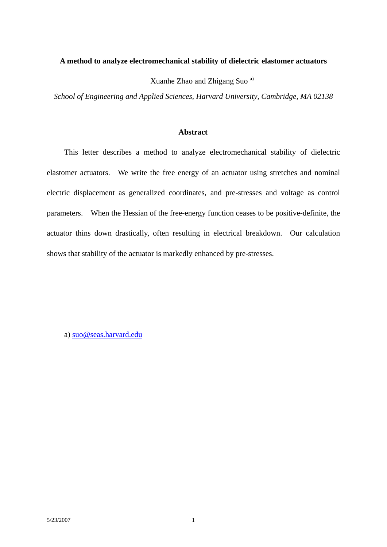## **A method to analyze electromechanical stability of dielectric elastomer actuators**

Xuanhe Zhao and Zhigang Suo a)

*School of Engineering and Applied Sciences, Harvard University, Cambridge, MA 02138*

## **Abstract**

This letter describes a method to analyze electromechanical stability of dielectric elastomer actuators. We write the free energy of an actuator using stretches and nominal electric displacement as generalized coordinates, and pre-stresses and voltage as control parameters. When the Hessian of the free-energy function ceases to be positive-definite, the actuator thins down drastically, often resulting in electrical breakdown. Our calculation shows that stability of the actuator is markedly enhanced by pre-stresses.

a) suo@seas.harvard.edu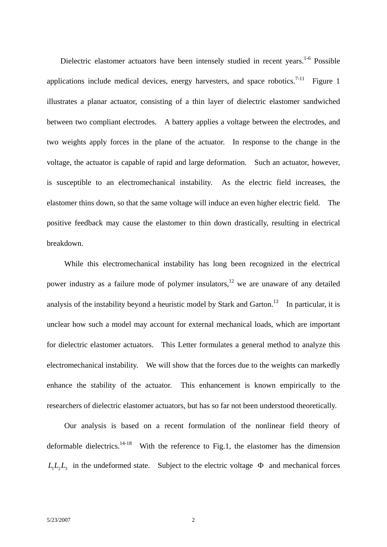Dielectric elastomer actuators have been intensely studied in recent years.<sup>1-6</sup> Possible applications include medical devices, energy harvesters, and space robotics.<sup>7-11</sup> Figure 1 illustrates a planar actuator, consisting of a thin layer of dielectric elastomer sandwiched between two compliant electrodes. A battery applies a voltage between the electrodes, and two weights apply forces in the plane of the actuator. In response to the change in the voltage, the actuator is capable of rapid and large deformation. Such an actuator, however, is susceptible to an electromechanical instability. As the electric field increases, the elastomer thins down, so that the same voltage will induce an even higher electric field. The positive feedback may cause the elastomer to thin down drastically, resulting in electrical breakdown.

 While this electromechanical instability has long been recognized in the electrical power industry as a failure mode of polymer insulators, $12$  we are unaware of any detailed analysis of the instability beyond a heuristic model by Stark and Garton.<sup>13</sup> In particular, it is unclear how such a model may account for external mechanical loads, which are important for dielectric elastomer actuators. This Letter formulates a general method to analyze this electromechanical instability. We will show that the forces due to the weights can markedly enhance the stability of the actuator. This enhancement is known empirically to the researchers of dielectric elastomer actuators, but has so far not been understood theoretically.

 Our analysis is based on a recent formulation of the nonlinear field theory of deformable dielectrics.<sup>14-18</sup> With the reference to Fig.1, the elastomer has the dimension  $L_1L_2L_3$  in the undeformed state. Subject to the electric voltage  $\Phi$  and mechanical forces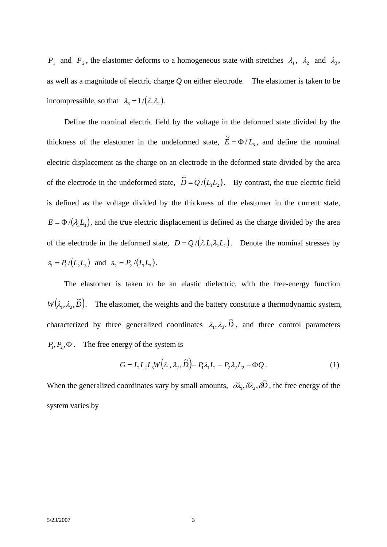*P*<sub>1</sub> and *P*<sub>2</sub>, the elastomer deforms to a homogeneous state with stretches  $\lambda_1$ ,  $\lambda_2$  and  $\lambda_3$ , as well as a magnitude of electric charge *Q* on either electrode. The elastomer is taken to be incompressible, so that  $\lambda_3 = 1/(\lambda_1 \lambda_2)$ .

 Define the nominal electric field by the voltage in the deformed state divided by the thickness of the elastomer in the undeformed state,  $\tilde{E} = \Phi / L_3$ , and define the nominal electric displacement as the charge on an electrode in the deformed state divided by the area of the electrode in the undeformed state,  $\tilde{D} = Q / (L_1 L_2)$ . By contrast, the true electric field is defined as the voltage divided by the thickness of the elastomer in the current state,  $E = \Phi/(\lambda_3 L_3)$ , and the true electric displacement is defined as the charge divided by the area of the electrode in the deformed state,  $D = Q / (\lambda_1 L_1 \lambda_2 L_2)$ . Denote the nominal stresses by  $s_1 = P_1/(L_2 L_3)$  and  $s_2 = P_2/(L_1 L_3)$ .

The elastomer is taken to be an elastic dielectric, with the free-energy function  $W(\lambda_1, \lambda_2, \tilde{D})$ . The elastomer, the weights and the battery constitute a thermodynamic system, characterized by three generalized coordinates  $\lambda_1, \lambda_2, \tilde{D}$ , and three control parameters  $P_1, P_2, \Phi$ . The free energy of the system is

$$
G = L_1 L_2 L_3 W(\lambda_1, \lambda_2, \widetilde{D}) - P_1 \lambda_1 L_1 - P_2 \lambda_2 L_2 - \Phi Q. \tag{1}
$$

When the generalized coordinates vary by small amounts,  $\delta \lambda_1, \delta \lambda_2, \delta \tilde{D}$ , the free energy of the system varies by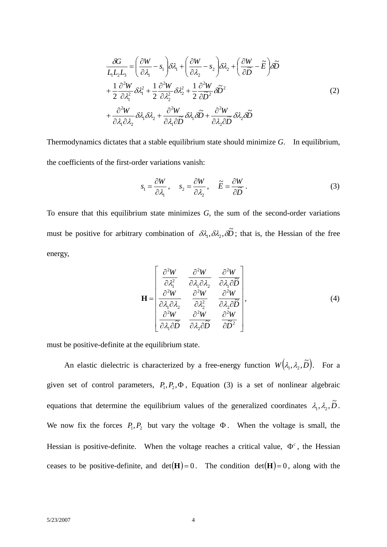$$
\frac{\partial G}{L_1 L_2 L_3} = \left(\frac{\partial W}{\partial \lambda_1} - s_1\right) \delta \lambda_1 + \left(\frac{\partial W}{\partial \lambda_2} - s_2\right) \delta \lambda_2 + \left(\frac{\partial W}{\partial \widetilde{D}} - \widetilde{E}\right) \delta \widetilde{D}
$$
\n
$$
+ \frac{1}{2} \frac{\partial^2 W}{\partial \lambda_1^2} \delta \lambda_1^2 + \frac{1}{2} \frac{\partial^2 W}{\partial \lambda_2^2} \delta \lambda_2^2 + \frac{1}{2} \frac{\partial^2 W}{\partial \widetilde{D}^2} \delta \widetilde{D}^2
$$
\n
$$
+ \frac{\partial^2 W}{\partial \lambda_1 \partial \lambda_2} \delta \lambda_1 \delta \lambda_2 + \frac{\partial^2 W}{\partial \lambda_1 \partial \widetilde{D}} \delta \lambda_1 \delta \widetilde{D} + \frac{\partial^2 W}{\partial \lambda_2 \partial \widetilde{D}} \delta \lambda_2 \delta \widetilde{D}
$$
\n(2)

Thermodynamics dictates that a stable equilibrium state should minimize *G*. In equilibrium, the coefficients of the first-order variations vanish:

$$
s_1 = \frac{\partial W}{\partial \lambda_1}, \quad s_2 = \frac{\partial W}{\partial \lambda_2}, \quad \widetilde{E} = \frac{\partial W}{\partial \widetilde{D}}.
$$
 (3)

To ensure that this equilibrium state minimizes *G*, the sum of the second-order variations must be positive for arbitrary combination of  $\delta\lambda_1, \delta\lambda_2, \delta\tilde{D}$ ; that is, the Hessian of the free energy,

$$
\mathbf{H} = \begin{bmatrix} \frac{\partial^2 W}{\partial \lambda_1^2} & \frac{\partial^2 W}{\partial \lambda_1 \partial \lambda_2} & \frac{\partial^2 W}{\partial \lambda_1 \partial \widetilde{D}} \\ \frac{\partial^2 W}{\partial \lambda_1 \partial \lambda_2} & \frac{\partial^2 W}{\partial \lambda_2^2} & \frac{\partial^2 W}{\partial \lambda_2 \partial \widetilde{D}} \\ \frac{\partial^2 W}{\partial \lambda_1 \partial \widetilde{D}} & \frac{\partial^2 W}{\partial \lambda_2 \partial \widetilde{D}} & \frac{\partial^2 W}{\partial \widetilde{D}^2} \end{bmatrix},
$$
(4)

must be positive-definite at the equilibrium state.

An elastic dielectric is characterized by a free-energy function  $W(\lambda_1, \lambda_2, \tilde{D})$ . For a given set of control parameters,  $P_1, P_2, \Phi$ , Equation (3) is a set of nonlinear algebraic equations that determine the equilibrium values of the generalized coordinates  $\lambda_1, \lambda_2, \tilde{D}$ . We now fix the forces  $P_1, P_2$  but vary the voltage  $\Phi$ . When the voltage is small, the Hessian is positive-definite. When the voltage reaches a critical value,  $\Phi^c$ , the Hessian ceases to be positive-definite, and  $det(\mathbf{H}) = 0$ . The condition  $det(\mathbf{H}) = 0$ , along with the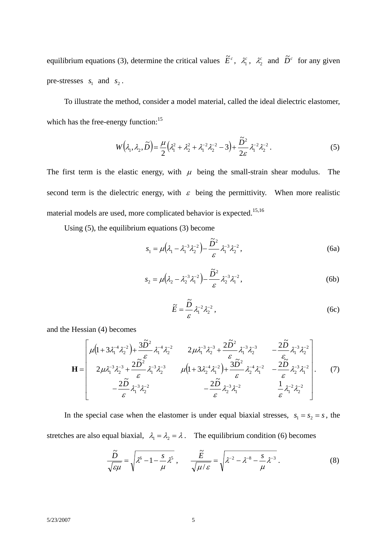equilibrium equations (3), determine the critical values  $\tilde{E}^c$ ,  $\lambda_1^c$ ,  $\lambda_2^c$  and  $\tilde{D}^c$  for any given pre-stresses  $s_1$  and  $s_2$ .

To illustrate the method, consider a model material, called the ideal dielectric elastomer, which has the free-energy function:<sup>15</sup>

$$
W(\lambda_1, \lambda_2, \widetilde{D}) = \frac{\mu}{2} \left( \lambda_1^2 + \lambda_2^2 + \lambda_1^{-2} \lambda_2^{-2} - 3 \right) + \frac{\widetilde{D}^2}{2\varepsilon} \lambda_1^{-2} \lambda_2^{-2} \,. \tag{5}
$$

The first term is the elastic energy, with  $\mu$  being the small-strain shear modulus. The second term is the dielectric energy, with  $\varepsilon$  being the permittivity. When more realistic material models are used, more complicated behavior is expected.<sup>15,16</sup>

Using (5), the equilibrium equations (3) become

$$
s_1 = \mu \big( \lambda_1 - \lambda_1^{-3} \lambda_2^{-2} \big) - \frac{\tilde{D}^2}{\varepsilon} \lambda_1^{-3} \lambda_2^{-2} \,, \tag{6a}
$$

$$
s_2 = \mu \left(\lambda_2 - \lambda_2^{-3} \lambda_1^{-2}\right) - \frac{\tilde{D}^2}{\varepsilon} \lambda_2^{-3} \lambda_1^{-2},\tag{6b}
$$

$$
\widetilde{E} = \frac{\widetilde{D}}{\varepsilon} \lambda_1^{-2} \lambda_2^{-2} \,, \tag{6c}
$$

and the Hessian (4) becomes

$$
\mathbf{H} = \begin{bmatrix} \mu \left( 1 + 3\lambda_1^{-4}\lambda_2^{-2} \right) + \frac{3\tilde{D}^2}{\varepsilon} \lambda_1^{-4}\lambda_2^{-2} & 2\mu \lambda_1^{-3}\lambda_2^{-3} + \frac{2\tilde{D}^2}{\varepsilon} \lambda_1^{-3}\lambda_2^{-3} & -\frac{2\tilde{D}}{\varepsilon} \lambda_1^{-3}\lambda_2^{-2} \\ 2\mu \lambda_1^{-3}\lambda_2^{-3} + \frac{2\tilde{D}^2}{\varepsilon} \lambda_1^{-3}\lambda_2^{-3} & \mu \left( 1 + 3\lambda_2^{-4}\lambda_1^{-2} \right) + \frac{3\tilde{D}^2}{\varepsilon} \lambda_2^{-4}\lambda_1^{-2} & -\frac{2\tilde{D}}{\varepsilon} \lambda_2^{-3}\lambda_1^{-2} \\ -\frac{2\tilde{D}}{\varepsilon} \lambda_1^{-3}\lambda_2^{-2} & -\frac{2\tilde{D}}{\varepsilon} \lambda_2^{-3}\lambda_1^{-2} & \frac{1}{\varepsilon} \lambda_1^{-2}\lambda_2^{-2} \end{bmatrix} . \tag{7}
$$

In the special case when the elastomer is under equal biaxial stresses,  $s_1 = s_2 = s$ , the stretches are also equal biaxial,  $\lambda_1 = \lambda_2 = \lambda$ . The equilibrium condition (6) becomes

$$
\frac{\tilde{D}}{\sqrt{\varepsilon\mu}} = \sqrt{\lambda^6 - 1 - \frac{s}{\mu}\lambda^5}, \qquad \frac{\tilde{E}}{\sqrt{\mu/\varepsilon}} = \sqrt{\lambda^{-2} - \lambda^{-8} - \frac{s}{\mu}\lambda^{-3}}.
$$
\n(8)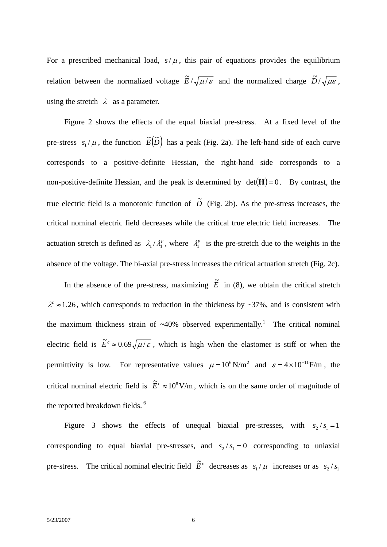For a prescribed mechanical load,  $s/\mu$ , this pair of equations provides the equilibrium relation between the normalized voltage  $\tilde{E}/\sqrt{\mu/\varepsilon}$  and the normalized charge  $\tilde{D}/\sqrt{\mu \varepsilon}$ , using the stretch  $\lambda$  as a parameter.

 Figure 2 shows the effects of the equal biaxial pre-stress. At a fixed level of the pre-stress  $s_1 / \mu$ , the function  $\widetilde{E}(\widetilde{D})$  has a peak (Fig. 2a). The left-hand side of each curve corresponds to a positive-definite Hessian, the right-hand side corresponds to a non-positive-definite Hessian, and the peak is determined by  $det(\mathbf{H}) = 0$ . By contrast, the true electric field is a monotonic function of  $\tilde{D}$  (Fig. 2b). As the pre-stress increases, the critical nominal electric field decreases while the critical true electric field increases. The actuation stretch is defined as  $\lambda_1 / \lambda_1^p$ , where  $\lambda_1^p$  is the pre-stretch due to the weights in the absence of the voltage. The bi-axial pre-stress increases the critical actuation stretch (Fig. 2c).

In the absence of the pre-stress, maximizing  $\tilde{E}$  in (8), we obtain the critical stretch  $\lambda^c \approx 1.26$ , which corresponds to reduction in the thickness by ~37%, and is consistent with the maximum thickness strain of  $~40\%$  observed experimentally.<sup>1</sup> The critical nominal electric field is  $\tilde{E}^c \approx 0.69 \sqrt{\mu/\varepsilon}$ , which is high when the elastomer is stiff or when the permittivity is low. For representative values  $\mu = 10^6 \text{ N/m}^2$  and  $\varepsilon = 4 \times 10^{-11} \text{ F/m}$ , the critical nominal electric field is  $\tilde{E}^c \approx 10^8$  V/m, which is on the same order of magnitude of the reported breakdown fields.<sup>6</sup>

Figure 3 shows the effects of unequal biaxial pre-stresses, with  $s_2 / s_1 = 1$ corresponding to equal biaxial pre-stresses, and  $s_2 / s_1 = 0$  corresponding to uniaxial pre-stress. The critical nominal electric field  $\tilde{E}^c$  decreases as  $s_1 / \mu$  increases or as  $s_2 / s_1$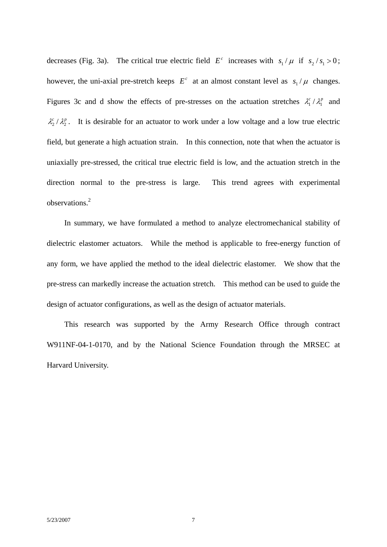decreases (Fig. 3a). The critical true electric field  $E^c$  increases with  $s_1 / \mu$  if  $s_2 / s_1 > 0$ ; however, the uni-axial pre-stretch keeps  $E^c$  at an almost constant level as  $s_1 / \mu$  changes. Figures 3c and d show the effects of pre-stresses on the actuation stretches  $\lambda_1^c / \lambda_1^p$  and  $\lambda_2^c/\lambda_2^p$ . It is desirable for an actuator to work under a low voltage and a low true electric field, but generate a high actuation strain. In this connection, note that when the actuator is uniaxially pre-stressed, the critical true electric field is low, and the actuation stretch in the direction normal to the pre-stress is large. This trend agrees with experimental observations.<sup>2</sup>

 In summary, we have formulated a method to analyze electromechanical stability of dielectric elastomer actuators. While the method is applicable to free-energy function of any form, we have applied the method to the ideal dielectric elastomer. We show that the pre-stress can markedly increase the actuation stretch. This method can be used to guide the design of actuator configurations, as well as the design of actuator materials.

 This research was supported by the Army Research Office through contract W911NF-04-1-0170, and by the National Science Foundation through the MRSEC at Harvard University.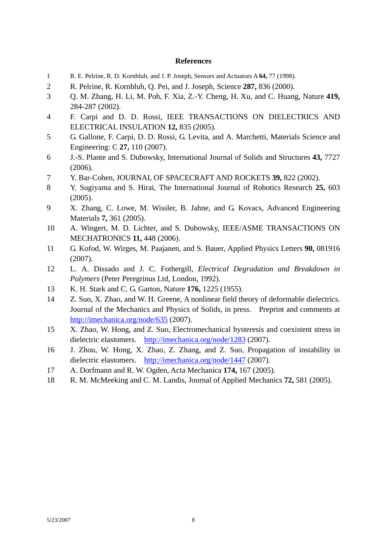## **References**

- 1 R. E. Pelrine, R. D. Kornbluh, and J. P. Joseph, Sensors and Actuators A **64,** 77 (1998).
- 2 R. Pelrine, R. Kornbluh, Q. Pei, and J. Joseph, Science **287,** 836 (2000).
- 3 Q. M. Zhang, H. Li, M. Poh, F. Xia, Z.-Y. Cheng, H. Xu, and C. Huang, Nature **419,** 284-287 (2002).
- 4 F. Carpi and D. D. Rossi, IEEE TRANSACTIONS ON DIELECTRICS AND ELECTRICAL INSULATION **12,** 835 (2005).
- 5 G. Gallone, F. Carpi, D. D. Rossi, G. Levita, and A. Marchetti, Materials Science and Engineering: C **27,** 110 (2007).
- 6 J.-S. Plante and S. Dubowsky, International Journal of Solids and Structures **43,** 7727 (2006).
- 7 Y. Bar-Cohen, JOURNAL OF SPACECRAFT AND ROCKETS **39,** 822 (2002).
- 8 Y. Sugiyama and S. Hirai, The International Journal of Robotics Research **25,** 603 (2005).
- 9 X. Zhang, C. Lowe, M. Wissler, B. Jahne, and G. Kovacs, Advanced Engineering Materials **7,** 361 (2005).
- 10 A. Wingert, M. D. Lichter, and S. Dubowsky, IEEE/ASME TRANSACTIONS ON MECHATRONICS **11,** 448 (2006).
- 11 G. Kofod, W. Wirges, M. Paajanen, and S. Bauer, Applied Physics Letters **90,** 081916 (2007).
- 12 L. A. Dissado and J. C. Fothergill, *Electrical Degradation and Breakdown in Polymers* (Peter Peregrinus Ltd, London, 1992).
- 13 K. H. Stark and C. G. Garton, Nature **176,** 1225 (1955).
- 14 Z. Suo, X. Zhao, and W. H. Greene, A nonlinear field theory of deformable dielectrics. Journal of the Mechanics and Physics of Solids, in press. Preprint and comments at http://imechanica.org/node/635 (2007).
- 15 X. Zhao, W. Hong, and Z. Suo, Electromechanical hysteresis and coexistent stress in dielectric elastomers. http://imechanica.org/node/1283 (2007).
- 16 J. Zhou, W. Hong, X. Zhao, Z. Zhang, and Z. Suo, Propagation of instability in dielectric elastomers. http://imechanica.org/node/1447 (2007).
- 17 A. Dorfmann and R. W. Ogden, Acta Mechanica **174,** 167 (2005).
- 18 R. M. McMeeking and C. M. Landis, Journal of Applied Mechanics **72,** 581 (2005).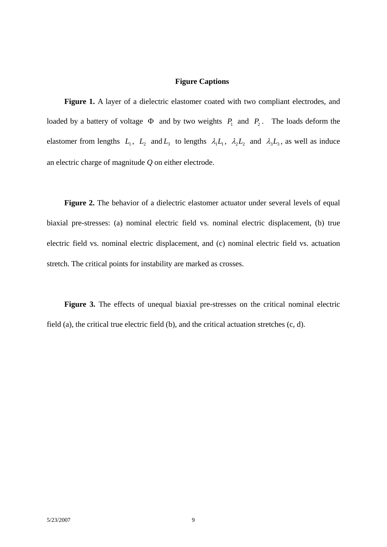## **Figure Captions**

Figure 1. A layer of a dielectric elastomer coated with two compliant electrodes, and loaded by a battery of voltage  $\Phi$  and by two weights  $P_1$  and  $P_2$ . The loads deform the elastomer from lengths  $L_1$ ,  $L_2$  and  $L_3$  to lengths  $\lambda_1 L_1$ ,  $\lambda_2 L_2$  and  $\lambda_3 L_3$ , as well as induce an electric charge of magnitude *Q* on either electrode.

Figure 2. The behavior of a dielectric elastomer actuator under several levels of equal biaxial pre-stresses: (a) nominal electric field vs. nominal electric displacement, (b) true electric field vs. nominal electric displacement, and (c) nominal electric field vs. actuation stretch. The critical points for instability are marked as crosses.

Figure 3. The effects of unequal biaxial pre-stresses on the critical nominal electric field (a), the critical true electric field (b), and the critical actuation stretches (c, d).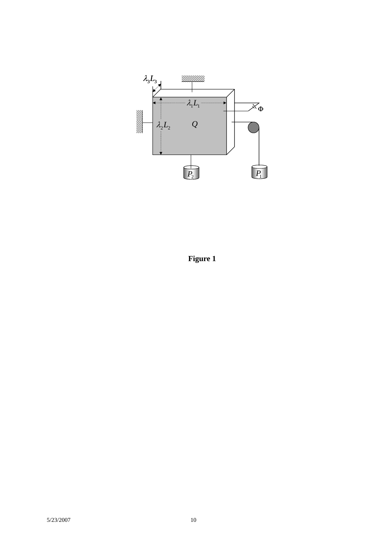

**Figure 1**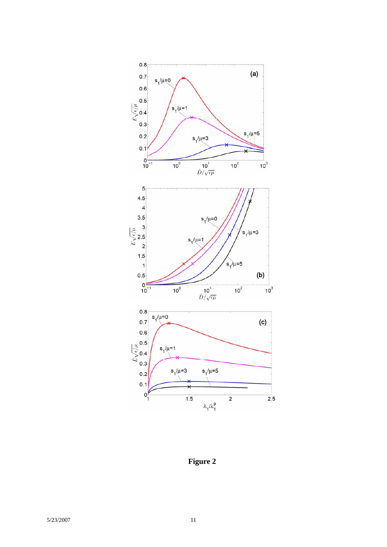

**Figure 2**